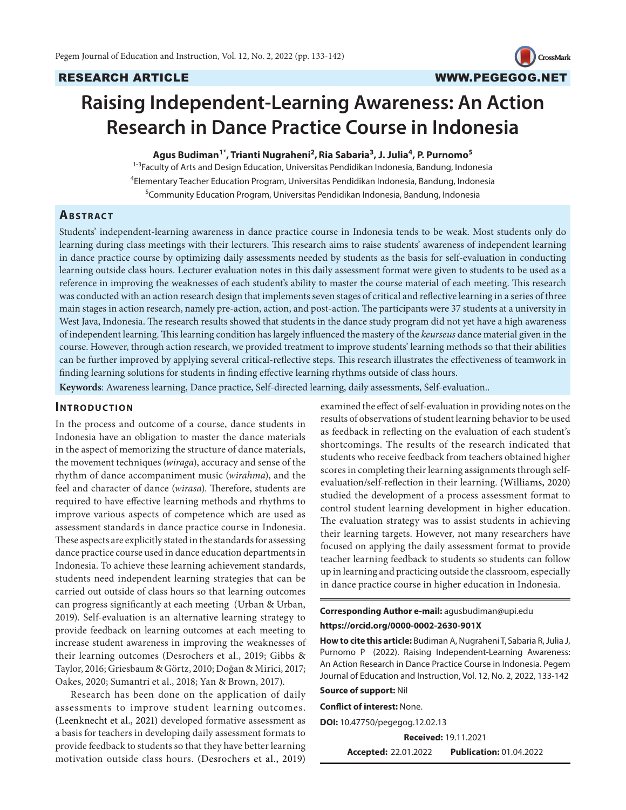

# **Raising Independent-Learning Awareness: An Action Research in Dance Practice Course in Indonesia**

#### **Agus Budiman1\*, Trianti Nugraheni2 ,Ria Sabaria<sup>3</sup> , J. Julia4 , P. Purnomo5**

1-3Faculty of Arts and Design Education, Universitas Pendidikan Indonesia, Bandung, Indonesia 4 Elementary Teacher Education Program, Universitas Pendidikan Indonesia, Bandung, Indonesia 5 Community Education Program, Universitas Pendidikan Indonesia, Bandung, Indonesia

## **ABSTRACT**

Students' independent-learning awareness in dance practice course in Indonesia tends to be weak. Most students only do learning during class meetings with their lecturers. This research aims to raise students' awareness of independent learning in dance practice course by optimizing daily assessments needed by students as the basis for self-evaluation in conducting learning outside class hours. Lecturer evaluation notes in this daily assessment format were given to students to be used as a reference in improving the weaknesses of each student's ability to master the course material of each meeting. This research was conducted with an action research design that implements seven stages of critical and reflective learning in a series of three main stages in action research, namely pre-action, action, and post-action. The participants were 37 students at a university in West Java, Indonesia. The research results showed that students in the dance study program did not yet have a high awareness of independent learning. This learning condition has largely influenced the mastery of the *keurseus* dance material given in the course. However, through action research, we provided treatment to improve students' learning methods so that their abilities can be further improved by applying several critical-reflective steps. This research illustrates the effectiveness of teamwork in finding learning solutions for students in finding effective learning rhythms outside of class hours.

**Keywords**: Awareness learning, Dance practice, Self-directed learning, daily assessments, Self-evaluation..

#### **INTRODUCTION**

In the process and outcome of a course, dance students in Indonesia have an obligation to master the dance materials in the aspect of memorizing the structure of dance materials, the movement techniques (*wiraga*), accuracy and sense of the rhythm of dance accompaniment music (*wirahma*), and the feel and character of dance (*wirasa*). Therefore, students are required to have effective learning methods and rhythms to improve various aspects of competence which are used as assessment standards in dance practice course in Indonesia. These aspects are explicitly stated in the standards for assessing dance practice course used in dance education departments in Indonesia. To achieve these learning achievement standards, students need independent learning strategies that can be carried out outside of class hours so that learning outcomes can progress significantly at each meeting (Urban & Urban, 2019). Self-evaluation is an alternative learning strategy to provide feedback on learning outcomes at each meeting to increase student awareness in improving the weaknesses of their learning outcomes (Desrochers et al., 2019; Gibbs & Taylor, 2016; Griesbaum & Görtz, 2010; Doğan & Mirici, 2017; Oakes, 2020; Sumantri et al., 2018; Yan & Brown, 2017).

Research has been done on the application of daily assessments to improve student learning outcomes. (Leenknecht et al., 2021) developed formative assessment as a basis for teachers in developing daily assessment formats to provide feedback to students so that they have better learning motivation outside class hours. (Desrochers et al., 2019)

examined the effect of self-evaluation in providing notes on the results of observations of student learning behavior to be used as feedback in reflecting on the evaluation of each student's shortcomings. The results of the research indicated that students who receive feedback from teachers obtained higher scores in completing their learning assignments through selfevaluation/self-reflection in their learning. (Williams, 2020) studied the development of a process assessment format to control student learning development in higher education. The evaluation strategy was to assist students in achieving their learning targets. However, not many researchers have focused on applying the daily assessment format to provide teacher learning feedback to students so students can follow up in learning and practicing outside the classroom, especially in dance practice course in higher education in Indonesia.

#### **Corresponding Author e-mail:** agusbudiman@upi.edu **https://orcid.org/0000-0002-2630-901X**

**How to cite this article:** Budiman A, Nugraheni T, Sabaria R, Julia J, Purnomo P (2022). Raising Independent-Learning Awareness: An Action Research in Dance Practice Course in Indonesia. Pegem Journal of Education and Instruction, Vol. 12, No. 2, 2022, 133-142

#### **Source of support:** Nil

**Conflict of interest:** None.

**DOI:** 10.47750/pegegog.12.02.13

**Received:** 19.11.2021

**Accepted:** 22.01.2022 **Publication:** 01.04.2022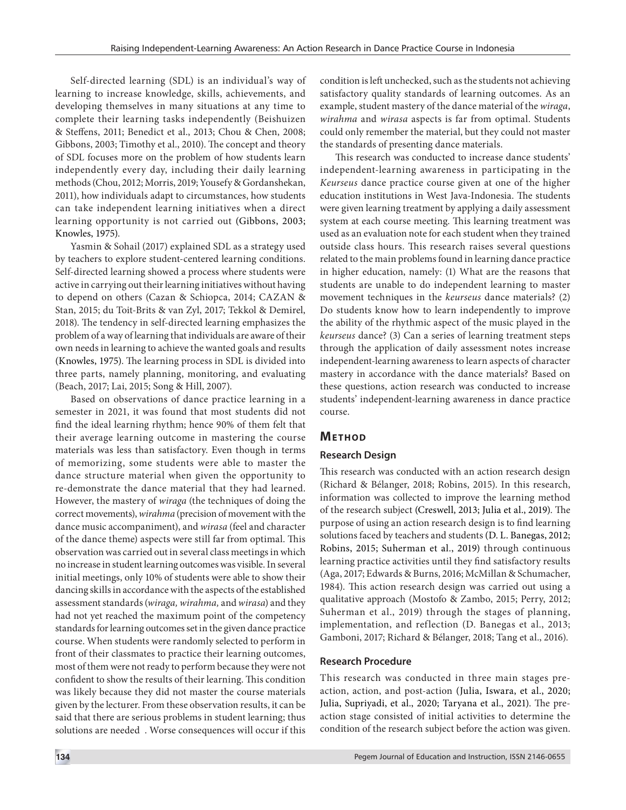Self-directed learning (SDL) is an individual's way of learning to increase knowledge, skills, achievements, and developing themselves in many situations at any time to complete their learning tasks independently (Beishuizen & Steffens, 2011; Benedict et al., 2013; Chou & Chen, 2008; Gibbons, 2003; Timothy et al., 2010). The concept and theory of SDL focuses more on the problem of how students learn independently every day, including their daily learning methods (Chou, 2012; Morris, 2019; Yousefy & Gordanshekan, 2011), how individuals adapt to circumstances, how students can take independent learning initiatives when a direct learning opportunity is not carried out (Gibbons, 2003; Knowles, 1975).

Yasmin & Sohail (2017) explained SDL as a strategy used by teachers to explore student-centered learning conditions. Self-directed learning showed a process where students were active in carrying out their learning initiatives without having to depend on others (Cazan & Schiopca, 2014; CAZAN & Stan, 2015; du Toit-Brits & van Zyl, 2017; Tekkol & Demirel, 2018). The tendency in self-directed learning emphasizes the problem of a way of learning that individuals are aware of their own needs in learning to achieve the wanted goals and results (Knowles, 1975). The learning process in SDL is divided into three parts, namely planning, monitoring, and evaluating (Beach, 2017; Lai, 2015; Song & Hill, 2007).

Based on observations of dance practice learning in a semester in 2021, it was found that most students did not find the ideal learning rhythm; hence 90% of them felt that their average learning outcome in mastering the course materials was less than satisfactory. Even though in terms of memorizing, some students were able to master the dance structure material when given the opportunity to re-demonstrate the dance material that they had learned. However, the mastery of *wiraga* (the techniques of doing the correct movements), *wirahma* (precision of movement with the dance music accompaniment), and *wirasa* (feel and character of the dance theme) aspects were still far from optimal. This observation was carried out in several class meetings in which no increase in student learning outcomes was visible. In several initial meetings, only 10% of students were able to show their dancing skills in accordance with the aspects of the established assessment standards (*wiraga, wirahma,* and *wirasa*) and they had not yet reached the maximum point of the competency standards for learning outcomes set in the given dance practice course. When students were randomly selected to perform in front of their classmates to practice their learning outcomes, most of them were not ready to perform because they were not confident to show the results of their learning. This condition was likely because they did not master the course materials given by the lecturer. From these observation results, it can be said that there are serious problems in student learning; thus solutions are needed . Worse consequences will occur if this

condition is left unchecked, such as the students not achieving satisfactory quality standards of learning outcomes. As an example, student mastery of the dance material of the *wiraga*, *wirahma* and *wirasa* aspects is far from optimal. Students could only remember the material, but they could not master the standards of presenting dance materials.

This research was conducted to increase dance students' independent-learning awareness in participating in the *Keurseus* dance practice course given at one of the higher education institutions in West Java-Indonesia. The students were given learning treatment by applying a daily assessment system at each course meeting. This learning treatment was used as an evaluation note for each student when they trained outside class hours. This research raises several questions related to the main problems found in learning dance practice in higher education, namely: (1) What are the reasons that students are unable to do independent learning to master movement techniques in the *keurseus* dance materials? (2) Do students know how to learn independently to improve the ability of the rhythmic aspect of the music played in the *keurseus* dance? (3) Can a series of learning treatment steps through the application of daily assessment notes increase independent-learning awareness to learn aspects of character mastery in accordance with the dance materials? Based on these questions, action research was conducted to increase students' independent-learning awareness in dance practice course.

# **METHOD**

# **Research Design**

This research was conducted with an action research design (Richard & Bélanger, 2018; Robins, 2015). In this research, information was collected to improve the learning method of the research subject (Creswell, 2013; Julia et al., 2019). The purpose of using an action research design is to find learning solutions faced by teachers and students (D. L. Banegas, 2012; Robins, 2015; Suherman et al., 2019) through continuous learning practice activities until they find satisfactory results (Aga, 2017; Edwards & Burns, 2016; McMillan & Schumacher, 1984). This action research design was carried out using a qualitative approach (Mostofo & Zambo, 2015; Perry, 2012; Suherman et al., 2019) through the stages of planning, implementation, and reflection (D. Banegas et al., 2013; Gamboni, 2017; Richard & Bélanger, 2018; Tang et al., 2016).

# **Research Procedure**

This research was conducted in three main stages preaction, action, and post-action (Julia, Iswara, et al., 2020; Julia, Supriyadi, et al., 2020; Taryana et al., 2021). The preaction stage consisted of initial activities to determine the condition of the research subject before the action was given.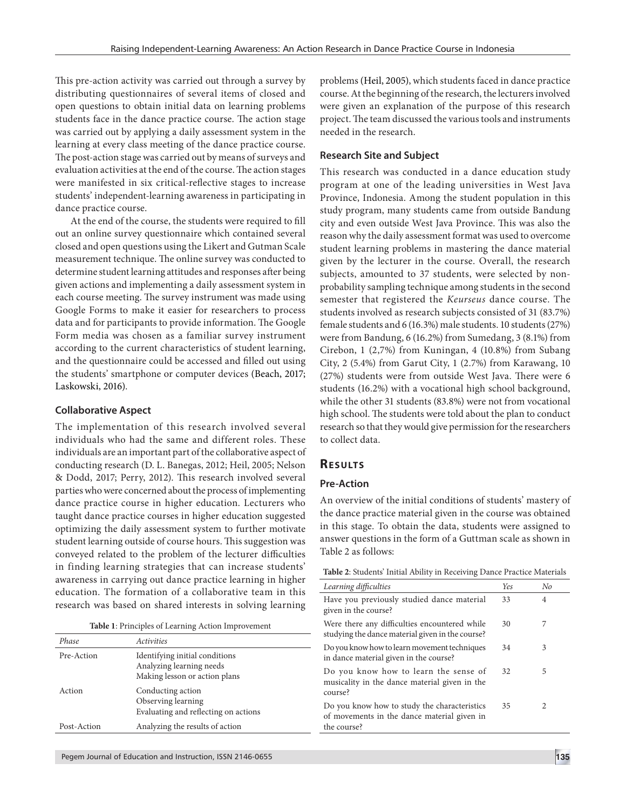This pre-action activity was carried out through a survey by distributing questionnaires of several items of closed and open questions to obtain initial data on learning problems students face in the dance practice course. The action stage was carried out by applying a daily assessment system in the learning at every class meeting of the dance practice course. The post-action stage was carried out by means of surveys and evaluation activities at the end of the course. The action stages were manifested in six critical-reflective stages to increase students' independent-learning awareness in participating in dance practice course.

At the end of the course, the students were required to fill out an online survey questionnaire which contained several closed and open questions using the Likert and Gutman Scale measurement technique. The online survey was conducted to determine student learning attitudes and responses after being given actions and implementing a daily assessment system in each course meeting. The survey instrument was made using Google Forms to make it easier for researchers to process data and for participants to provide information. The Google Form media was chosen as a familiar survey instrument according to the current characteristics of student learning, and the questionnaire could be accessed and filled out using the students' smartphone or computer devices (Beach, 2017; Laskowski, 2016).

#### **Collaborative Aspect**

*Phase Activities*

Pre-Action Identifying initial conditions

Post-Action Analyzing the results of action

Action Conducting action

The implementation of this research involved several individuals who had the same and different roles. These individuals are an important part of the collaborative aspect of conducting research (D. L. Banegas, 2012; Heil, 2005; Nelson & Dodd, 2017; Perry, 2012). This research involved several parties who were concerned about the process of implementing dance practice course in higher education. Lecturers who taught dance practice courses in higher education suggested optimizing the daily assessment system to further motivate student learning outside of course hours. This suggestion was conveyed related to the problem of the lecturer difficulties in finding learning strategies that can increase students' awareness in carrying out dance practice learning in higher education. The formation of a collaborative team in this research was based on shared interests in solving learning

|  | Table 1: Principles of Learning Action Improvement |  |
|--|----------------------------------------------------|--|
|--|----------------------------------------------------|--|

Analyzing learning needs Making lesson or action plans

Evaluating and reflecting on actions

problems (Heil, 2005), which students faced in dance practice course. At the beginning of the research, the lecturers involved were given an explanation of the purpose of this research project. The team discussed the various tools and instruments needed in the research.

#### **Research Site and Subject**

This research was conducted in a dance education study program at one of the leading universities in West Java Province, Indonesia. Among the student population in this study program, many students came from outside Bandung city and even outside West Java Province. This was also the reason why the daily assessment format was used to overcome student learning problems in mastering the dance material given by the lecturer in the course. Overall, the research subjects, amounted to 37 students, were selected by nonprobability sampling technique among students in the second semester that registered the *Keurseus* dance course. The students involved as research subjects consisted of 31 (83.7%) female students and 6 (16.3%) male students. 10 students (27%) were from Bandung, 6 (16.2%) from Sumedang, 3 (8.1%) from Cirebon, 1 (2,7%) from Kuningan, 4 (10.8%) from Subang City, 2 (5.4%) from Garut City, 1 (2.7%) from Karawang, 10 (27%) students were from outside West Java. There were 6 students (16.2%) with a vocational high school background, while the other 31 students (83.8%) were not from vocational high school. The students were told about the plan to conduct research so that they would give permission for the researchers to collect data.

#### **RESULTS**

#### **Pre-Action**

An overview of the initial conditions of students' mastery of the dance practice material given in the course was obtained in this stage. To obtain the data, students were assigned to answer questions in the form of a Guttman scale as shown in Table 2 as follows:

|  | Table 2: Students' Initial Ability in Receiving Dance Practice Materials |
|--|--------------------------------------------------------------------------|
|--|--------------------------------------------------------------------------|

| Learning difficulties                                                                                      | Yes | $N_{0}$        |
|------------------------------------------------------------------------------------------------------------|-----|----------------|
| Have you previously studied dance material<br>given in the course?                                         | 33  | $\overline{4}$ |
| Were there any difficulties encountered while<br>studying the dance material given in the course?          | 30  | 7              |
| Do you know how to learn movement techniques<br>in dance material given in the course?                     | 34  | 3              |
| Do you know how to learn the sense of<br>musicality in the dance material given in the<br>course?          | 32  | 5              |
| Do you know how to study the characteristics<br>of movements in the dance material given in<br>the course? | 35  | 2              |

Observing learning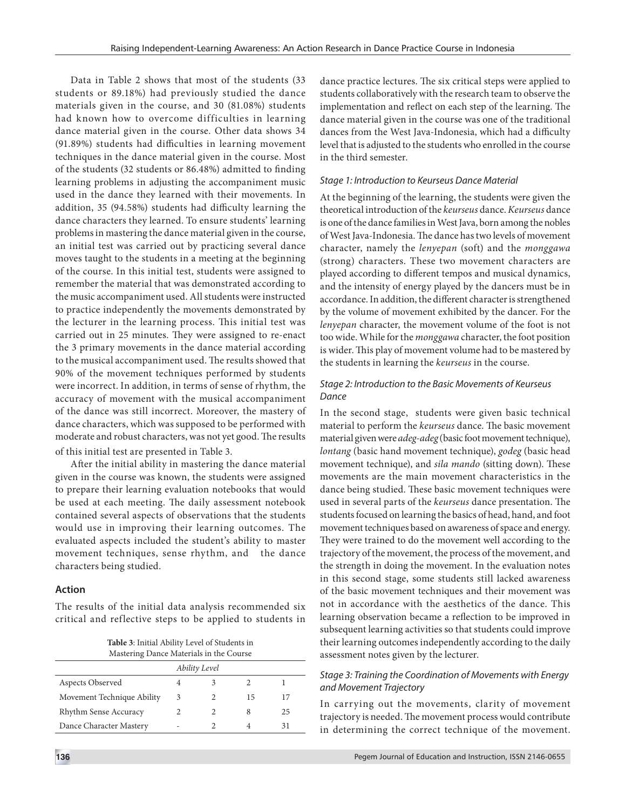Data in Table 2 shows that most of the students (33 students or 89.18%) had previously studied the dance materials given in the course, and 30 (81.08%) students had known how to overcome difficulties in learning dance material given in the course. Other data shows 34 (91.89%) students had difficulties in learning movement techniques in the dance material given in the course. Most of the students (32 students or 86.48%) admitted to finding learning problems in adjusting the accompaniment music used in the dance they learned with their movements. In addition, 35 (94.58%) students had difficulty learning the dance characters they learned. To ensure students' learning problems in mastering the dance material given in the course, an initial test was carried out by practicing several dance moves taught to the students in a meeting at the beginning of the course. In this initial test, students were assigned to remember the material that was demonstrated according to the music accompaniment used. All students were instructed to practice independently the movements demonstrated by the lecturer in the learning process. This initial test was carried out in 25 minutes. They were assigned to re-enact the 3 primary movements in the dance material according to the musical accompaniment used. The results showed that 90% of the movement techniques performed by students were incorrect. In addition, in terms of sense of rhythm, the accuracy of movement with the musical accompaniment of the dance was still incorrect. Moreover, the mastery of dance characters, which was supposed to be performed with moderate and robust characters, was not yet good. The results of this initial test are presented in Table 3.

After the initial ability in mastering the dance material given in the course was known, the students were assigned to prepare their learning evaluation notebooks that would be used at each meeting. The daily assessment notebook contained several aspects of observations that the students would use in improving their learning outcomes. The evaluated aspects included the student's ability to master movement techniques, sense rhythm, and the dance characters being studied.

### **Action**

The results of the initial data analysis recommended six critical and reflective steps to be applied to students in

| Table 3: Initial Ability Level of Students in |
|-----------------------------------------------|
| Mastering Dance Materials in the Course       |

| Ability Level              |   |  |    |    |  |  |
|----------------------------|---|--|----|----|--|--|
| Aspects Observed           |   |  |    |    |  |  |
| Movement Technique Ability | 3 |  | 15 |    |  |  |
| Rhythm Sense Accuracy      |   |  |    | 25 |  |  |
| Dance Character Mastery    |   |  |    |    |  |  |

dance practice lectures. The six critical steps were applied to students collaboratively with the research team to observe the implementation and reflect on each step of the learning. The dance material given in the course was one of the traditional dances from the West Java-Indonesia, which had a difficulty level that is adjusted to the students who enrolled in the course in the third semester.

#### *Stage 1: Introduction to Keurseus Dance Material*

At the beginning of the learning, the students were given the theoretical introduction of the *keurseus* dance. *Keurseus* dance is one of the dance families in West Java, born among the nobles of West Java-Indonesia. The dance has two levels of movement character, namely the *lenyepan* (soft) and the *monggawa* (strong) characters. These two movement characters are played according to different tempos and musical dynamics, and the intensity of energy played by the dancers must be in accordance. In addition, the different character is strengthened by the volume of movement exhibited by the dancer. For the *lenyepan* character, the movement volume of the foot is not too wide. While for the *monggawa* character, the foot position is wider. This play of movement volume had to be mastered by the students in learning the *keurseus* in the course.

#### *Stage 2: Introduction to the Basic Movements of Keurseus Dance*

In the second stage, students were given basic technical material to perform the *keurseus* dance. The basic movement material given were *adeg-adeg* (basic foot movement technique), *lontang* (basic hand movement technique), *godeg* (basic head movement technique), and *sila mando* (sitting down). These movements are the main movement characteristics in the dance being studied. These basic movement techniques were used in several parts of the *keurseus* dance presentation. The students focused on learning the basics of head, hand, and foot movement techniques based on awareness of space and energy. They were trained to do the movement well according to the trajectory of the movement, the process of the movement, and the strength in doing the movement. In the evaluation notes in this second stage, some students still lacked awareness of the basic movement techniques and their movement was not in accordance with the aesthetics of the dance. This learning observation became a reflection to be improved in subsequent learning activities so that students could improve their learning outcomes independently according to the daily assessment notes given by the lecturer.

#### *Stage 3: Training the Coordination of Movements with Energy and Movement Trajectory*

In carrying out the movements, clarity of movement trajectory is needed. The movement process would contribute in determining the correct technique of the movement.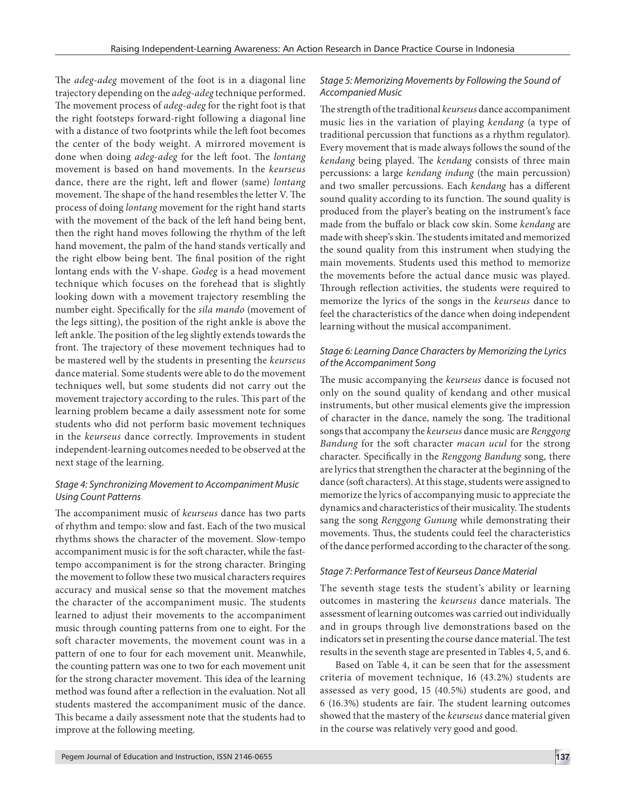The *adeg-adeg* movement of the foot is in a diagonal line trajectory depending on the *adeg-adeg* technique performed. The movement process of *adeg-adeg* for the right foot is that the right footsteps forward-right following a diagonal line with a distance of two footprints while the left foot becomes the center of the body weight. A mirrored movement is done when doing *adeg-adeg* for the left foot. The *lontang* movement is based on hand movements. In the *keurseus* dance, there are the right, left and flower (same) *lontang* movement. The shape of the hand resembles the letter V. The process of doing *lontang* movement for the right hand starts with the movement of the back of the left hand being bent, then the right hand moves following the rhythm of the left hand movement, the palm of the hand stands vertically and the right elbow being bent. The final position of the right lontang ends with the V-shape. *Godeg* is a head movement technique which focuses on the forehead that is slightly looking down with a movement trajectory resembling the number eight. Specifically for the *sila mando* (movement of the legs sitting), the position of the right ankle is above the left ankle. The position of the leg slightly extends towards the front. The trajectory of these movement techniques had to be mastered well by the students in presenting the *keurseus* dance material. Some students were able to do the movement techniques well, but some students did not carry out the movement trajectory according to the rules. This part of the learning problem became a daily assessment note for some students who did not perform basic movement techniques in the *keurseus* dance correctly. Improvements in student independent-learning outcomes needed to be observed at the next stage of the learning.

#### *Stage 4: Synchronizing Movement to Accompaniment Music Using Count Patterns*

The accompaniment music of *keurseus* dance has two parts of rhythm and tempo: slow and fast. Each of the two musical rhythms shows the character of the movement. Slow-tempo accompaniment music is for the soft character, while the fasttempo accompaniment is for the strong character. Bringing the movement to follow these two musical characters requires accuracy and musical sense so that the movement matches the character of the accompaniment music. The students learned to adjust their movements to the accompaniment music through counting patterns from one to eight. For the soft character movements, the movement count was in a pattern of one to four for each movement unit. Meanwhile, the counting pattern was one to two for each movement unit for the strong character movement. This idea of the learning method was found after a reflection in the evaluation. Not all students mastered the accompaniment music of the dance. This became a daily assessment note that the students had to improve at the following meeting.

#### *Stage 5: Memorizing Movements by Following the Sound of Accompanied Music*

The strength of the traditional *keurseus* dance accompaniment music lies in the variation of playing *kendang* (a type of traditional percussion that functions as a rhythm regulator). Every movement that is made always follows the sound of the *kendang* being played. The *kendang* consists of three main percussions: a large *kendang indung* (the main percussion) and two smaller percussions. Each *kendang* has a different sound quality according to its function. The sound quality is produced from the player's beating on the instrument's face made from the buffalo or black cow skin. Some *kendang* are made with sheep's skin. The students imitated and memorized the sound quality from this instrument when studying the main movements. Students used this method to memorize the movements before the actual dance music was played. Through reflection activities, the students were required to memorize the lyrics of the songs in the *keurseus* dance to feel the characteristics of the dance when doing independent learning without the musical accompaniment.

# *Stage 6: Learning Dance Characters by Memorizing the Lyrics of the Accompaniment Song*

The music accompanying the *keurseus* dance is focused not only on the sound quality of kendang and other musical instruments, but other musical elements give the impression of character in the dance, namely the song. The traditional songs that accompany the *keurseus* dance music are *Renggong Bandung* for the soft character *macan ucul* for the strong character. Specifically in the *Renggong Bandung* song, there are lyrics that strengthen the character at the beginning of the dance (soft characters). At this stage, students were assigned to memorize the lyrics of accompanying music to appreciate the dynamics and characteristics of their musicality. The students sang the song *Renggong Gunung* while demonstrating their movements. Thus, the students could feel the characteristics of the dance performed according to the character of the song.

### *Stage 7: Performance Test of Keurseus Dance Material*

The seventh stage tests the student's ability or learning outcomes in mastering the *keurseus* dance materials. The assessment of learning outcomes was carried out individually and in groups through live demonstrations based on the indicators set in presenting the course dance material. The test results in the seventh stage are presented in Tables 4, 5, and 6.

Based on Table 4, it can be seen that for the assessment criteria of movement technique, 16 (43.2%) students are assessed as very good, 15 (40.5%) students are good, and 6 (16.3%) students are fair. The student learning outcomes showed that the mastery of the *keurseus* dance material given in the course was relatively very good and good.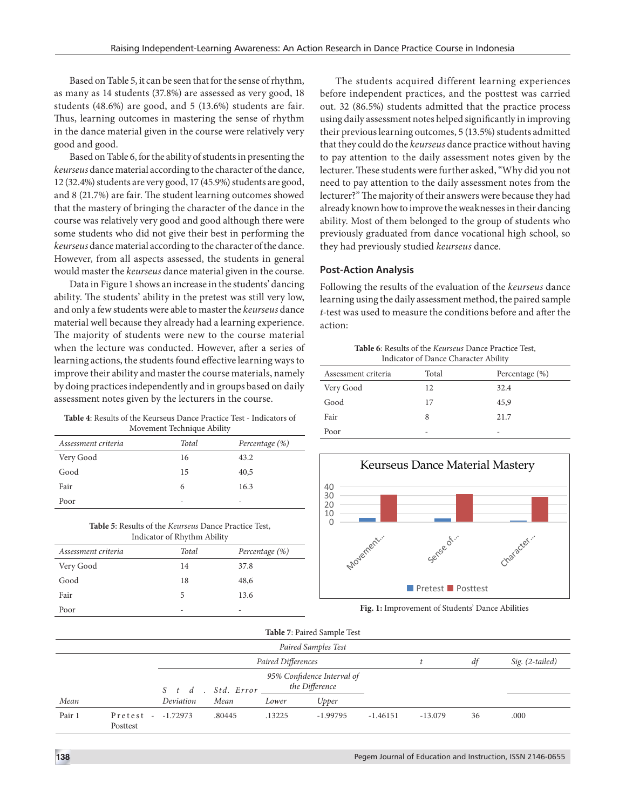Based on Table 5, it can be seen that for the sense of rhythm, as many as 14 students (37.8%) are assessed as very good, 18 students (48.6%) are good, and 5 (13.6%) students are fair. Thus, learning outcomes in mastering the sense of rhythm in the dance material given in the course were relatively very good and good.

Based on Table 6, for the ability of students in presenting the *keurseus* dance material according to the character of the dance, 12 (32.4%) students are very good, 17 (45.9%) students are good, and 8 (21.7%) are fair. The student learning outcomes showed that the mastery of bringing the character of the dance in the course was relatively very good and good although there were some students who did not give their best in performing the *keurseus* dance material according to the character of the dance. However, from all aspects assessed, the students in general would master the *keurseus* dance material given in the course.

Data in Figure 1 shows an increase in the students' dancing ability. The students' ability in the pretest was still very low, and only a few students were able to master the *keurseus* dance material well because they already had a learning experience. The majority of students were new to the course material when the lecture was conducted. However, after a series of learning actions, the students found effective learning ways to improve their ability and master the course materials, namely by doing practices independently and in groups based on daily assessment notes given by the lecturers in the course.

**Table 4**: Results of the Keurseus Dance Practice Test - Indicators of Movement Technique Ability

| Assessment criteria | Total | Percentage (%) |
|---------------------|-------|----------------|
| Very Good           | 16    | 43.2           |
| Good                | 15    | 40,5           |
| Fair                | 6     | 16.3           |
| Poor                | -     | -              |

**Table 5**: Results of the *Keurseus* Dance Practice Test, Indicator of Rhythm Ability

| Assessment criteria | Total | Percentage (%) |
|---------------------|-------|----------------|
| Very Good           | 14    | 37.8           |
| Good                | 18    | 48,6           |
| Fair                | 5     | 13.6           |
| Poor                | -     | -              |

The students acquired different learning experiences before independent practices, and the posttest was carried out. 32 (86.5%) students admitted that the practice process using daily assessment notes helped significantly in improving their previous learning outcomes, 5 (13.5%) students admitted that they could do the *keurseus* dance practice without having to pay attention to the daily assessment notes given by the lecturer. These students were further asked, "Why did you not need to pay attention to the daily assessment notes from the lecturer?" The majority of their answers were because they had already known how to improve the weaknesses in their dancing ability. Most of them belonged to the group of students who previously graduated from dance vocational high school, so they had previously studied *keurseus* dance.

# **Post-Action Analysis**

Following the results of the evaluation of the *keurseus* dance learning using the daily assessment method, the paired sample *t-*test was used to measure the conditions before and after the action:

**Table 6**: Results of the *Keurseus* Dance Practice Test, Indicator of Dance Character Ability

| Assessment criteria | Total | Percentage (%) |
|---------------------|-------|----------------|
| Very Good           | 12    | 32.4           |
| Good                | 17    | 45,9           |
| Fair                | 8     | 21.7           |
| Poor                | -     | -              |



**Fig. 1:** Improvement of Students' Dance Abilities

| Table 7: Paired Sample Test |                     |            |                            |                                              |            |            |           |    |                 |
|-----------------------------|---------------------|------------|----------------------------|----------------------------------------------|------------|------------|-----------|----|-----------------|
| Paired Samples Test         |                     |            |                            |                                              |            |            |           |    |                 |
| Paired Differences<br>df    |                     |            |                            |                                              |            |            |           |    | Sig. (2-tailed) |
|                             |                     |            | $S$ t d. Std. Error $\_\_$ | 95% Confidence Interval of<br>the Difference |            |            |           |    |                 |
| Mean                        |                     | Deviation  | Mean                       | Lower                                        | Upper      |            |           |    |                 |
| Pair 1                      | Pretest<br>Posttest | $-1.72973$ | .80445                     | .13225                                       | $-1.99795$ | $-1.46151$ | $-13.079$ | 36 | .000            |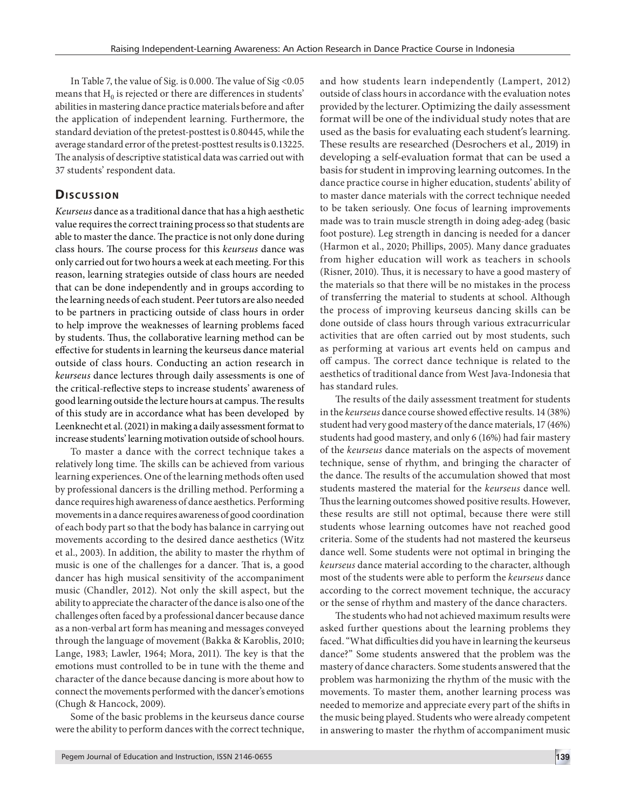In Table 7, the value of Sig. is 0.000. The value of Sig <0.05 means that  $H_0$  is rejected or there are differences in students' abilities in mastering dance practice materials before and after the application of independent learning. Furthermore, the standard deviation of the pretest-posttest is 0.80445, while the average standard error of the pretest-posttest results is 0.13225. The analysis of descriptive statistical data was carried out with 37 students' respondent data.

# **Discussion**

*Keurseus* dance as a traditional dance that has a high aesthetic value requires the correct training process so that students are able to master the dance. The practice is not only done during class hours. The course process for this *keurseus* dance was only carried out for two hours a week at each meeting. For this reason, learning strategies outside of class hours are needed that can be done independently and in groups according to the learning needs of each student. Peer tutors are also needed to be partners in practicing outside of class hours in order to help improve the weaknesses of learning problems faced by students. Thus, the collaborative learning method can be effective for students in learning the keurseus dance material outside of class hours. Conducting an action research in *keurseus* dance lectures through daily assessments is one of the critical-reflective steps to increase students' awareness of good learning outside the lecture hours at campus. The results of this study are in accordance what has been developed by Leenknecht et al. (2021) in making a daily assessment format to increase students' learning motivation outside of school hours.

To master a dance with the correct technique takes a relatively long time. The skills can be achieved from various learning experiences. One of the learning methods often used by professional dancers is the drilling method. Performing a dance requires high awareness of dance aesthetics. Performing movements in a dance requires awareness of good coordination of each body part so that the body has balance in carrying out movements according to the desired dance aesthetics (Witz et al., 2003). In addition, the ability to master the rhythm of music is one of the challenges for a dancer. That is, a good dancer has high musical sensitivity of the accompaniment music (Chandler, 2012). Not only the skill aspect, but the ability to appreciate the character of the dance is also one of the challenges often faced by a professional dancer because dance as a non-verbal art form has meaning and messages conveyed through the language of movement (Bakka & Karoblis, 2010; Lange, 1983; Lawler, 1964; Mora, 2011). The key is that the emotions must controlled to be in tune with the theme and character of the dance because dancing is more about how to connect the movements performed with the dancer's emotions (Chugh & Hancock, 2009).

Some of the basic problems in the keurseus dance course were the ability to perform dances with the correct technique, and how students learn independently (Lampert, 2012) outside of class hours in accordance with the evaluation notes provided by the lecturer. Optimizing the daily assessment format will be one of the individual study notes that are used as the basis for evaluating each student's learning. These results are researched (Desrochers et al., 2019) in developing a self-evaluation format that can be used a basis for student in improving learning outcomes. In the dance practice course in higher education, students' ability of to master dance materials with the correct technique needed to be taken seriously. One focus of learning improvements made was to train muscle strength in doing adeg-adeg (basic foot posture). Leg strength in dancing is needed for a dancer (Harmon et al., 2020; Phillips, 2005). Many dance graduates from higher education will work as teachers in schools (Risner, 2010). Thus, it is necessary to have a good mastery of the materials so that there will be no mistakes in the process of transferring the material to students at school. Although the process of improving keurseus dancing skills can be done outside of class hours through various extracurricular activities that are often carried out by most students, such as performing at various art events held on campus and off campus. The correct dance technique is related to the aesthetics of traditional dance from West Java-Indonesia that has standard rules.

The results of the daily assessment treatment for students in the *keurseus* dance course showed effective results. 14 (38%) student had very good mastery of the dance materials, 17 (46%) students had good mastery, and only 6 (16%) had fair mastery of the *keurseus* dance materials on the aspects of movement technique, sense of rhythm, and bringing the character of the dance. The results of the accumulation showed that most students mastered the material for the *keurseus* dance well. Thus the learning outcomes showed positive results. However, these results are still not optimal, because there were still students whose learning outcomes have not reached good criteria. Some of the students had not mastered the keurseus dance well. Some students were not optimal in bringing the *keurseus* dance material according to the character, although most of the students were able to perform the *keurseus* dance according to the correct movement technique, the accuracy or the sense of rhythm and mastery of the dance characters.

The students who had not achieved maximum results were asked further questions about the learning problems they faced. "What difficulties did you have in learning the keurseus dance?" Some students answered that the problem was the mastery of dance characters. Some students answered that the problem was harmonizing the rhythm of the music with the movements. To master them, another learning process was needed to memorize and appreciate every part of the shifts in the music being played. Students who were already competent in answering to master the rhythm of accompaniment music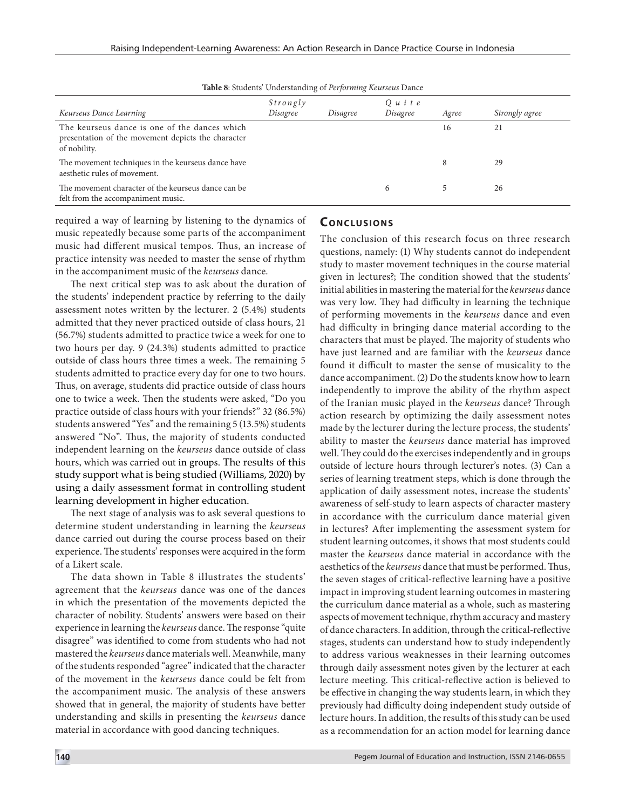| <b>Tuble 0.</b> Ottachio Chaelstanang of Fello marg Realistas Dance                                                 |                      |          |                         |       |                |  |  |
|---------------------------------------------------------------------------------------------------------------------|----------------------|----------|-------------------------|-------|----------------|--|--|
| Keurseus Dance Learning                                                                                             | Strongly<br>Disagree | Disagree | $Q$ u i t e<br>Disagree | Agree | Strongly agree |  |  |
| The keurseus dance is one of the dances which<br>presentation of the movement depicts the character<br>of nobility. |                      |          |                         | 16    | 21             |  |  |
| The movement techniques in the keurseus dance have<br>aesthetic rules of movement.                                  |                      |          |                         | 8     | 29             |  |  |
| The movement character of the keurseus dance can be<br>felt from the accompaniment music.                           |                      |          | 6                       |       | 26             |  |  |

**Table 8**: Students' Understanding of *Performing Keurseus* Dance

required a way of learning by listening to the dynamics of music repeatedly because some parts of the accompaniment music had different musical tempos. Thus, an increase of practice intensity was needed to master the sense of rhythm in the accompaniment music of the *keurseus* dance.

The next critical step was to ask about the duration of the students' independent practice by referring to the daily assessment notes written by the lecturer. 2 (5.4%) students admitted that they never practiced outside of class hours, 21 (56.7%) students admitted to practice twice a week for one to two hours per day. 9 (24.3%) students admitted to practice outside of class hours three times a week. The remaining 5 students admitted to practice every day for one to two hours. Thus, on average, students did practice outside of class hours one to twice a week. Then the students were asked, "Do you practice outside of class hours with your friends?" 32 (86.5%) students answered "Yes" and the remaining 5 (13.5%) students answered "No". Thus, the majority of students conducted independent learning on the *keurseus* dance outside of class hours, which was carried out in groups. The results of this study support what is being studied (Williams, 2020) by using a daily assessment format in controlling student learning development in higher education.

The next stage of analysis was to ask several questions to determine student understanding in learning the *keurseus* dance carried out during the course process based on their experience. The students' responses were acquired in the form of a Likert scale.

The data shown in Table 8 illustrates the students' agreement that the *keurseus* dance was one of the dances in which the presentation of the movements depicted the character of nobility. Students' answers were based on their experience in learning the *keurseus* dance. The response "quite disagree" was identified to come from students who had not mastered the *keurseus* dance materials well. Meanwhile, many of the students responded "agree" indicated that the character of the movement in the *keurseus* dance could be felt from the accompaniment music. The analysis of these answers showed that in general, the majority of students have better understanding and skills in presenting the *keurseus* dance material in accordance with good dancing techniques.

# **CONCLUSIONS**

The conclusion of this research focus on three research questions, namely: (1) Why students cannot do independent study to master movement techniques in the course material given in lectures?; The condition showed that the students' initial abilities in mastering the material for the *keurseus* dance was very low. They had difficulty in learning the technique of performing movements in the *keurseus* dance and even had difficulty in bringing dance material according to the characters that must be played. The majority of students who have just learned and are familiar with the *keurseus* dance found it difficult to master the sense of musicality to the dance accompaniment. (2) Do the students know how to learn independently to improve the ability of the rhythm aspect of the Iranian music played in the *keurseus* dance? Through action research by optimizing the daily assessment notes made by the lecturer during the lecture process, the students' ability to master the *keurseus* dance material has improved well. They could do the exercises independently and in groups outside of lecture hours through lecturer's notes. (3) Can a series of learning treatment steps, which is done through the application of daily assessment notes, increase the students' awareness of self-study to learn aspects of character mastery in accordance with the curriculum dance material given in lectures? After implementing the assessment system for student learning outcomes, it shows that most students could master the *keurseus* dance material in accordance with the aesthetics of the *keurseus* dance that must be performed. Thus, the seven stages of critical-reflective learning have a positive impact in improving student learning outcomes in mastering the curriculum dance material as a whole, such as mastering aspects of movement technique, rhythm accuracy and mastery of dance characters. In addition, through the critical-reflective stages, students can understand how to study independently to address various weaknesses in their learning outcomes through daily assessment notes given by the lecturer at each lecture meeting. This critical-reflective action is believed to be effective in changing the way students learn, in which they previously had difficulty doing independent study outside of lecture hours. In addition, the results of this study can be used as a recommendation for an action model for learning dance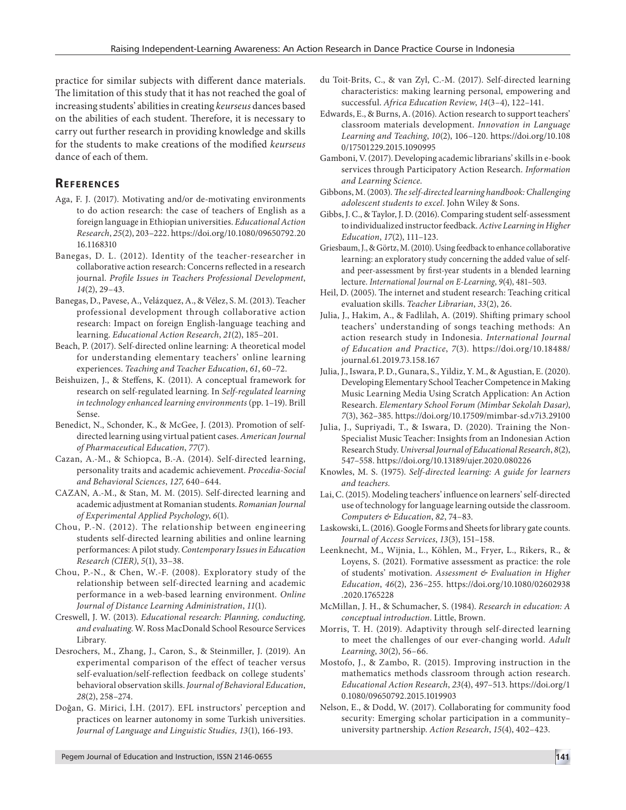practice for similar subjects with different dance materials. The limitation of this study that it has not reached the goal of increasing students' abilities in creating *keurseus* dances based on the abilities of each student. Therefore, it is necessary to carry out further research in providing knowledge and skills for the students to make creations of the modified *keurseus* dance of each of them.

# **Re f e r e n c e s**

- Aga, F. J. (2017). Motivating and/or de-motivating environments to do action research: the case of teachers of English as a foreign language in Ethiopian universities. *Educational Action Research*, *25*(2), 203–222. https://doi.org/10.1080/09650792.20 16.1168310
- Banegas, D. L. (2012). Identity of the teacher-researcher in collaborative action research: Concerns reflected in a research journal. *Profile Issues in Teachers Professional Development*, *14*(2), 29–43.
- Banegas, D., Pavese, A., Velázquez, A., & Vélez, S. M. (2013). Teacher professional development through collaborative action research: Impact on foreign English-language teaching and learning. *Educational Action Research*, *21*(2), 185–201.
- Beach, P. (2017). Self-directed online learning: A theoretical model for understanding elementary teachers' online learning experiences. *Teaching and Teacher Education*, *61*, 60–72.
- Beishuizen, J., & Steffens, K. (2011). A conceptual framework for research on self-regulated learning. In *Self-regulated learning in technology enhanced learning environments* (pp. 1–19). Brill Sense.
- Benedict, N., Schonder, K., & McGee, J. (2013). Promotion of selfdirected learning using virtual patient cases. *American Journal of Pharmaceutical Education*, *77*(7).
- Cazan, A.-M., & Schiopca, B.-A. (2014). Self-directed learning, personality traits and academic achievement. *Procedia-Social and Behavioral Sciences*, *127*, 640–644.
- CAZAN, A.-M., & Stan, M. M. (2015). Self-directed learning and academic adjustment at Romanian students. *Romanian Journal of Experimental Applied Psychology*, *6*(1).
- Chou, P.-N. (2012). The relationship between engineering students self-directed learning abilities and online learning performances: A pilot study. *Contemporary Issues in Education Research (CIER)*, *5*(1), 33–38.
- Chou, P.-N., & Chen, W.-F. (2008). Exploratory study of the relationship between self-directed learning and academic performance in a web-based learning environment. *Online Journal of Distance Learning Administration*, *11*(1).
- Creswell, J. W. (2013). *Educational research: Planning, conducting, and evaluating*. W. Ross MacDonald School Resource Services Library.
- Desrochers, M., Zhang, J., Caron, S., & Steinmiller, J. (2019). An experimental comparison of the effect of teacher versus self-evaluation/self-reflection feedback on college students' behavioral observation skills. *Journal of Behavioral Education*, *28*(2), 258–274.
- Doğan, G. Mirici, İ.H. (2017). EFL instructors' perception and practices on learner autonomy in some Turkish universities. *Journal of Language and Linguistic Studies, 13*(1), 166-193.
- du Toit-Brits, C., & van Zyl, C.-M. (2017). Self-directed learning characteristics: making learning personal, empowering and successful. *Africa Education Review*, *14*(3–4), 122–141.
- Edwards, E., & Burns, A. (2016). Action research to support teachers' classroom materials development. *Innovation in Language Learning and Teaching*, *10*(2), 106–120. https://doi.org/10.108 0/17501229.2015.1090995
- Gamboni, V. (2017). Developing academic librarians' skills in e-book services through Participatory Action Research. *Information and Learning Science*.
- Gibbons, M. (2003). *The self-directed learning handbook: Challenging adolescent students to excel*. John Wiley & Sons.
- Gibbs, J. C., & Taylor, J. D. (2016). Comparing student self-assessment to individualized instructor feedback. *Active Learning in Higher Education*, *17*(2), 111–123.
- Griesbaum, J., & Görtz, M. (2010). Using feedback to enhance collaborative learning: an exploratory study concerning the added value of selfand peer-assessment by first-year students in a blended learning lecture. *International Journal on E-Learning*, *9*(4), 481–503.
- Heil, D. (2005). The internet and student research: Teaching critical evaluation skills. *Teacher Librarian*, *33*(2), 26.
- Julia, J., Hakim, A., & Fadlilah, A. (2019). Shifting primary school teachers' understanding of songs teaching methods: An action research study in Indonesia. *International Journal of Education and Practice*, *7*(3). https://doi.org/10.18488/ journal.61.2019.73.158.167
- Julia, J., Iswara, P. D., Gunara, S., Yildiz, Y. M., & Agustian, E. (2020). Developing Elementary School Teacher Competence in Making Music Learning Media Using Scratch Application: An Action Research. *Elementary School Forum (Mimbar Sekolah Dasar)*, *7*(3), 362–385. https://doi.org/10.17509/mimbar-sd.v7i3.29100
- Julia, J., Supriyadi, T., & Iswara, D. (2020). Training the Non-Specialist Music Teacher: Insights from an Indonesian Action Research Study. *Universal Journal of Educational Research*, *8*(2), 547–558. https://doi.org/10.13189/ujer.2020.080226
- Knowles, M. S. (1975). *Self-directed learning: A guide for learners and teachers.*
- Lai, C. (2015). Modeling teachers' influence on learners' self-directed use of technology for language learning outside the classroom. *Computers & Education*, *82*, 74–83.
- Laskowski, L. (2016). Google Forms and Sheets for library gate counts. *Journal of Access Services*, *13*(3), 151–158.
- Leenknecht, M., Wijnia, L., Köhlen, M., Fryer, L., Rikers, R., & Loyens, S. (2021). Formative assessment as practice: the role of students' motivation. *Assessment & Evaluation in Higher Education*, *46*(2), 236–255. https://doi.org/10.1080/02602938 .2020.1765228
- McMillan, J. H., & Schumacher, S. (1984). *Research in education: A conceptual introduction*. Little, Brown.
- Morris, T. H. (2019). Adaptivity through self-directed learning to meet the challenges of our ever-changing world. *Adult Learning*, *30*(2), 56–66.
- Mostofo, J., & Zambo, R. (2015). Improving instruction in the mathematics methods classroom through action research. *Educational Action Research*, *23*(4), 497–513. https://doi.org/1 0.1080/09650792.2015.1019903
- Nelson, E., & Dodd, W. (2017). Collaborating for community food security: Emerging scholar participation in a community– university partnership. *Action Research*, *15*(4), 402–423.